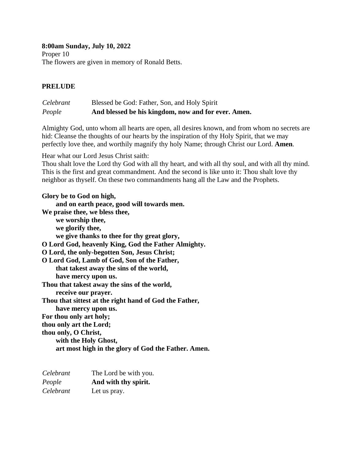**8:00am Sunday, July 10, 2022** Proper 10 The flowers are given in memory of Ronald Betts.

# **PRELUDE**

# *Celebrant* Blessed be God: Father, Son, and Holy Spirit *People* **And blessed be his kingdom, now and for ever. Amen.**

Almighty God, unto whom all hearts are open, all desires known, and from whom no secrets are hid: Cleanse the thoughts of our hearts by the inspiration of thy Holy Spirit, that we may perfectly love thee, and worthily magnify thy holy Name; through Christ our Lord. **Amen***.*

Hear what our Lord Jesus Christ saith:

Thou shalt love the Lord thy God with all thy heart, and with all thy soul, and with all thy mind. This is the first and great commandment. And the second is like unto it: Thou shalt love thy neighbor as thyself. On these two commandments hang all the Law and the Prophets.

**Glory be to God on high, and on earth peace, good will towards men. We praise thee, we bless thee, we worship thee, we glorify thee, we give thanks to thee for thy great glory, O Lord God, heavenly King, God the Father Almighty. O Lord, the only-begotten Son, Jesus Christ; O Lord God, Lamb of God, Son of the Father, that takest away the sins of the world, have mercy upon us. Thou that takest away the sins of the world, receive our prayer. Thou that sittest at the right hand of God the Father, have mercy upon us. For thou only art holy; thou only art the Lord; thou only, O Christ, with the Holy Ghost, art most high in the glory of God the Father. Amen.**

| Celebrant | The Lord be with you. |
|-----------|-----------------------|
| People    | And with thy spirit.  |
| Celebrant | Let us pray.          |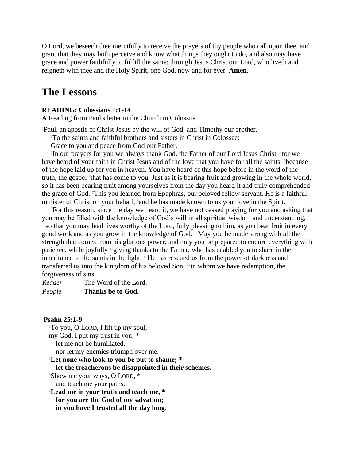O Lord, we beseech thee mercifully to receive the prayers of thy people who call upon thee, and grant that they may both perceive and know what things they ought to do, and also may have grace and power faithfully to fulfill the same; through Jesus Christ our Lord, who liveth and reigneth with thee and the Holy Spirit, one God, now and for ever. **Amen**.

# **The Lessons**

### **READING: Colossians 1:1-14**

A Reading from Paul's letter to the Church in Colossus.

<sup>1</sup>Paul, an apostle of Christ Jesus by the will of God, and Timothy our brother,

<sup>2</sup>To the saints and faithful brothers and sisters in Christ in Colossae:

Grace to you and peace from God our Father.

<sup>3</sup>In our prayers for you we always thank God, the Father of our Lord Jesus Christ, <sup>4</sup>for we have heard of your faith in Christ Jesus and of the love that you have for all the saints, <sup>5</sup>because of the hope laid up for you in heaven. You have heard of this hope before in the word of the truth, the gospel <sup>6</sup> that has come to you. Just as it is bearing fruit and growing in the whole world, so it has been bearing fruit among yourselves from the day you heard it and truly comprehended the grace of God. 7This you learned from Epaphras, our beloved fellow servant. He is a faithful minister of Christ on your behalf, 8and he has made known to us your love in the Spirit.

<sup>9</sup>For this reason, since the day we heard it, we have not ceased praying for you and asking that you may be filled with the knowledge of God's will in all spiritual wisdom and understanding, <sup>10</sup>so that you may lead lives worthy of the Lord, fully pleasing to him, as you bear fruit in every good work and as you grow in the knowledge of God. 11May you be made strong with all the strength that comes from his glorious power, and may you be prepared to endure everything with patience, while joyfully 12giving thanks to the Father, who has enabled you to share in the inheritance of the saints in the light. 13He has rescued us from the power of darkness and transferred us into the kingdom of his beloved Son, 14in whom we have redemption, the forgiveness of sins.

*Reader* The Word of the Lord. *People* **Thanks be to God.**

#### **Psalm 25:1-9**

<sup>1</sup>To you, O LORD, I lift up my soul; my God, I put my trust in you; \* let me not be humiliated, nor let my enemies triumph over me. **<sup>2</sup>Let none who look to you be put to shame; \* let the treacherous be disappointed in their schemes.** <sup>3</sup>Show me your ways, O LORD, \* and teach me your paths. **<sup>4</sup>Lead me in your truth and teach me, \* for you are the God of my salvation; in you have I trusted all the day long.**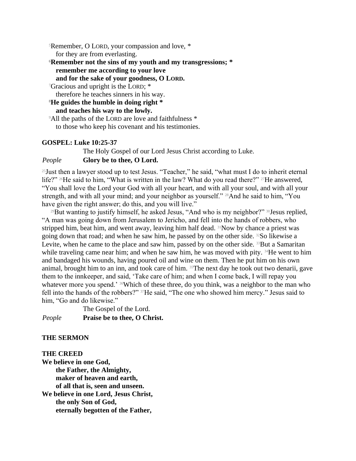<sup>5</sup>Remember, O LORD, your compassion and love, \*

for they are from everlasting.

**<sup>6</sup>Remember not the sins of my youth and my transgressions; \* remember me according to your love**

**and for the sake of your goodness, O LORD.**

<sup>7</sup>Gracious and upright is the LORD; \*

therefore he teaches sinners in his way.

**<sup>8</sup>He guides the humble in doing right \* and teaches his way to the lowly.**

<sup>9</sup>All the paths of the LORD are love and faithfulness \* to those who keep his covenant and his testimonies.

# **GOSPEL: Luke 10:25-37**

The Holy Gospel of our Lord Jesus Christ according to Luke.

# *People* **Glory be to thee, O Lord.**

<sup>25</sup> Just then a lawyer stood up to test Jesus. "Teacher," he said, "what must I do to inherit eternal life?" <sup>26</sup>He said to him, "What is written in the law? What do you read there?" <sup>27</sup>He answered, "You shall love the Lord your God with all your heart, and with all your soul, and with all your strength, and with all your mind; and your neighbor as yourself." <sup>28</sup>And he said to him, "You have given the right answer; do this, and you will live."

<sup>29</sup>But wanting to justify himself, he asked Jesus, "And who is my neighbor?" <sup>30</sup>Jesus replied, "A man was going down from Jerusalem to Jericho, and fell into the hands of robbers, who stripped him, beat him, and went away, leaving him half dead. 31Now by chance a priest was going down that road; and when he saw him, he passed by on the other side. 32So likewise a Levite, when he came to the place and saw him, passed by on the other side.  $33$ But a Samaritan while traveling came near him; and when he saw him, he was moved with pity. <sup>34</sup>He went to him and bandaged his wounds, having poured oil and wine on them. Then he put him on his own animal, brought him to an inn, and took care of him. <sup>35</sup>The next day he took out two denarii, gave them to the innkeeper, and said, 'Take care of him; and when I come back, I will repay you whatever more you spend.' <sup>36</sup>Which of these three, do you think, was a neighbor to the man who fell into the hands of the robbers?" 37He said, "The one who showed him mercy." Jesus said to him, "Go and do likewise."

The Gospel of the Lord. *People* **Praise be to thee, O Christ.**

# **THE SERMON**

### **THE CREED**

**We believe in one God, the Father, the Almighty, maker of heaven and earth, of all that is, seen and unseen. We believe in one Lord, Jesus Christ, the only Son of God, eternally begotten of the Father,**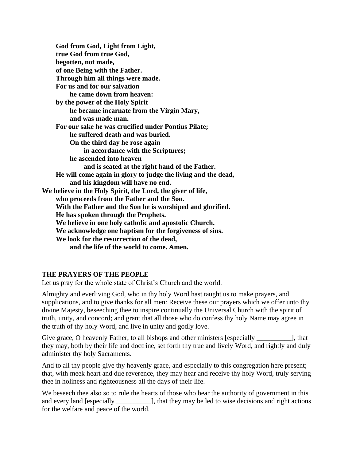**God from God, Light from Light, true God from true God, begotten, not made, of one Being with the Father. Through him all things were made. For us and for our salvation he came down from heaven: by the power of the Holy Spirit he became incarnate from the Virgin Mary, and was made man. For our sake he was crucified under Pontius Pilate; he suffered death and was buried. On the third day he rose again in accordance with the Scriptures; he ascended into heaven and is seated at the right hand of the Father. He will come again in glory to judge the living and the dead, and his kingdom will have no end. We believe in the Holy Spirit, the Lord, the giver of life, who proceeds from the Father and the Son. With the Father and the Son he is worshiped and glorified. He has spoken through the Prophets. We believe in one holy catholic and apostolic Church. We acknowledge one baptism for the forgiveness of sins. We look for the resurrection of the dead, and the life of the world to come. Amen.**

### **THE PRAYERS OF THE PEOPLE**

Let us pray for the whole state of Christ's Church and the world.

Almighty and everliving God, who in thy holy Word hast taught us to make prayers, and supplications, and to give thanks for all men: Receive these our prayers which we offer unto thy divine Majesty, beseeching thee to inspire continually the Universal Church with the spirit of truth, unity, and concord; and grant that all those who do confess thy holy Name may agree in the truth of thy holy Word, and live in unity and godly love.

Give grace, O heavenly Father, to all bishops and other ministers [especially \_\_\_\_\_\_\_\_\_\_\_], that they may, both by their life and doctrine, set forth thy true and lively Word, and rightly and duly administer thy holy Sacraments.

And to all thy people give thy heavenly grace, and especially to this congregation here present; that, with meek heart and due reverence, they may hear and receive thy holy Word, truly serving thee in holiness and righteousness all the days of their life.

We beseech thee also so to rule the hearts of those who bear the authority of government in this and every land [especially \_\_\_\_\_\_\_\_\_\_\_], that they may be led to wise decisions and right actions for the welfare and peace of the world.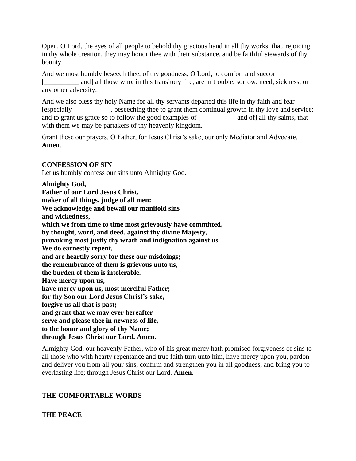Open, O Lord, the eyes of all people to behold thy gracious hand in all thy works, that, rejoicing in thy whole creation, they may honor thee with their substance, and be faithful stewards of thy bounty.

And we most humbly beseech thee, of thy goodness, O Lord, to comfort and succor [\_\_\_\_\_\_\_\_\_\_ and] all those who, in this transitory life, are in trouble, sorrow, need, sickness, or any other adversity.

And we also bless thy holy Name for all thy servants departed this life in thy faith and fear [especially \_\_\_\_\_\_\_\_\_\_], beseeching thee to grant them continual growth in thy love and service; and to grant us grace so to follow the good examples of [\_\_\_\_\_\_\_\_\_\_ and of] all thy saints, that with them we may be partakers of thy heavenly kingdom.

Grant these our prayers, O Father, for Jesus Christ's sake, our only Mediator and Advocate. **Amen***.*

### **CONFESSION OF SIN**

Let us humbly confess our sins unto Almighty God.

**Almighty God, Father of our Lord Jesus Christ, maker of all things, judge of all men: We acknowledge and bewail our manifold sins and wickedness, which we from time to time most grievously have committed, by thought, word, and deed, against thy divine Majesty, provoking most justly thy wrath and indignation against us. We do earnestly repent, and are heartily sorry for these our misdoings; the remembrance of them is grievous unto us, the burden of them is intolerable. Have mercy upon us, have mercy upon us, most merciful Father; for thy Son our Lord Jesus Christ's sake, forgive us all that is past; and grant that we may ever hereafter serve and please thee in newness of life, to the honor and glory of thy Name; through Jesus Christ our Lord. Amen.**

Almighty God, our heavenly Father, who of his great mercy hath promised forgiveness of sins to all those who with hearty repentance and true faith turn unto him, have mercy upon you, pardon and deliver you from all your sins, confirm and strengthen you in all goodness, and bring you to everlasting life; through Jesus Christ our Lord. **Amen***.*

### **THE COMFORTABLE WORDS**

**THE PEACE**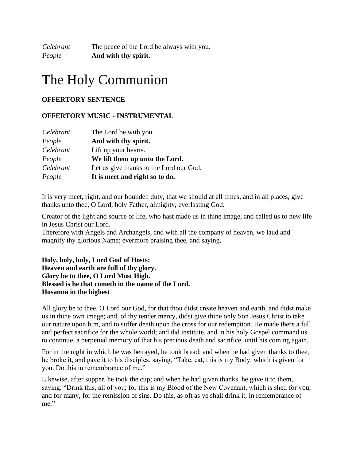*Celebrant* The peace of the Lord be always with you. *People* **And with thy spirit.**

# The Holy Communion

### **OFFERTORY SENTENCE**

### **OFFERTORY MUSIC - INSTRUMENTAL**

| Celebrant | The Lord be with you.                   |
|-----------|-----------------------------------------|
| People    | And with thy spirit.                    |
| Celebrant | Lift up your hearts.                    |
| People    | We lift them up unto the Lord.          |
| Celebrant | Let us give thanks to the Lord our God. |
| People    | It is meet and right so to do.          |

It is very meet, right, and our bounden duty, that we should at all times, and in all places, give thanks unto thee, O Lord, holy Father, almighty, everlasting God.

Creator of the light and source of life, who hast made us in thine image, and called us to new life in Jesus Christ our Lord.

Therefore with Angels and Archangels, and with all the company of heaven, we laud and magnify thy glorious Name; evermore praising thee, and saying,

**Holy, holy, holy, Lord God of Hosts: Heaven and earth are full of thy glory. Glory be to thee, O Lord Most High. Blessed is he that cometh in the name of the Lord. Hosanna in the highest**.

All glory be to thee, O Lord our God, for that thou didst create heaven and earth, and didst make us in thine own image; and, of thy tender mercy, didst give thine only Son Jesus Christ to take our nature upon him, and to suffer death upon the cross for our redemption. He made there a full and perfect sacrifice for the whole world; and did institute, and in his holy Gospel command us to continue, a perpetual memory of that his precious death and sacrifice, until his coming again.

For in the night in which he was betrayed, he took bread; and when he had given thanks to thee, he broke it, and gave it to his disciples, saying, "Take, eat, this is my Body, which is given for you. Do this in remembrance of me."

Likewise, after supper, he took the cup; and when he had given thanks, he gave it to them, saying, "Drink this, all of you; for this is my Blood of the New Covenant, which is shed for you, and for many, for the remission of sins. Do this, as oft as ye shall drink it, in remembrance of me."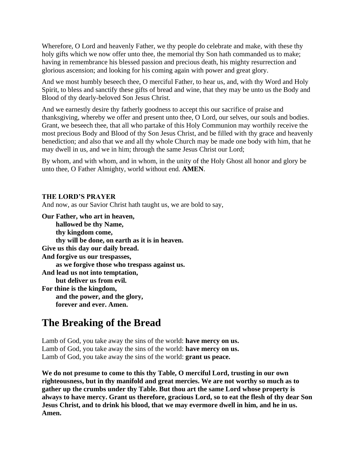Wherefore, O Lord and heavenly Father, we thy people do celebrate and make, with these thy holy gifts which we now offer unto thee, the memorial thy Son hath commanded us to make; having in remembrance his blessed passion and precious death, his mighty resurrection and glorious ascension; and looking for his coming again with power and great glory.

And we most humbly beseech thee, O merciful Father, to hear us, and, with thy Word and Holy Spirit, to bless and sanctify these gifts of bread and wine, that they may be unto us the Body and Blood of thy dearly-beloved Son Jesus Christ.

And we earnestly desire thy fatherly goodness to accept this our sacrifice of praise and thanksgiving, whereby we offer and present unto thee, O Lord, our selves, our souls and bodies. Grant, we beseech thee, that all who partake of this Holy Communion may worthily receive the most precious Body and Blood of thy Son Jesus Christ, and be filled with thy grace and heavenly benediction; and also that we and all thy whole Church may be made one body with him, that he may dwell in us, and we in him; through the same Jesus Christ our Lord;

By whom, and with whom, and in whom, in the unity of the Holy Ghost all honor and glory be unto thee, O Father Almighty, world without end. **AMEN***.*

### **THE LORD'S PRAYER**

And now, as our Savior Christ hath taught us, we are bold to say,

**Our Father, who art in heaven, hallowed be thy Name, thy kingdom come, thy will be done, on earth as it is in heaven. Give us this day our daily bread. And forgive us our trespasses, as we forgive those who trespass against us. And lead us not into temptation, but deliver us from evil. For thine is the kingdom, and the power, and the glory, forever and ever. Amen.**

# **The Breaking of the Bread**

Lamb of God, you take away the sins of the world: **have mercy on us.** Lamb of God, you take away the sins of the world: **have mercy on us.** Lamb of God, you take away the sins of the world: **grant us peace.**

**We do not presume to come to this thy Table, O merciful Lord, trusting in our own righteousness, but in thy manifold and great mercies. We are not worthy so much as to gather up the crumbs under thy Table. But thou art the same Lord whose property is always to have mercy. Grant us therefore, gracious Lord, so to eat the flesh of thy dear Son Jesus Christ, and to drink his blood, that we may evermore dwell in him, and he in us. Amen.**